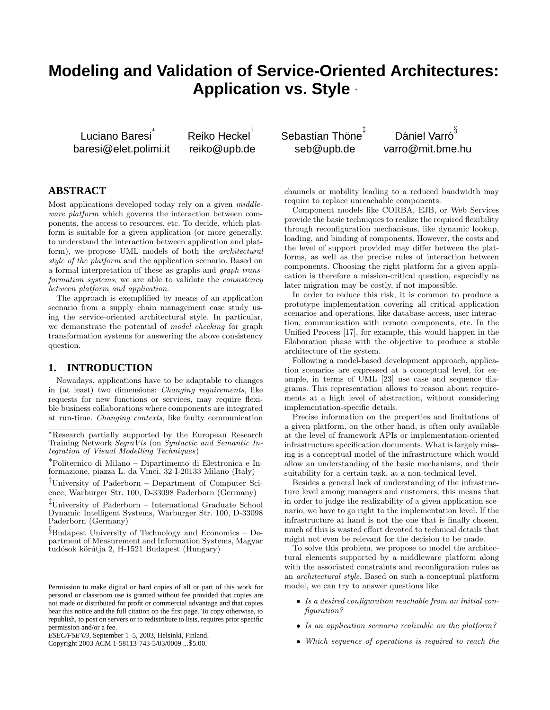# **Modeling and Validation of Service-Oriented Architectures: Application vs. Style** <sup>∗</sup>

Luciano Baresi ∗ baresi@elet.polimi.it  $\mathsf{Reiko}\ \mathsf{HeckeI}^\dagger$ reiko@upb.de Sebastian Thöne $\overline{\phantom{a}}^{\sharp}$ seb@upb.de

Dániel Varró<sup>§</sup> varro@mit.bme.hu

# **ABSTRACT**

Most applications developed today rely on a given middleware platform which governs the interaction between components, the access to resources, etc. To decide, which platform is suitable for a given application (or more generally, to understand the interaction between application and platform), we propose UML models of both the architectural style of the platform and the application scenario. Based on a formal interpretation of these as graphs and *graph trans*formation systems, we are able to validate the consistency between platform and application.

The approach is exemplified by means of an application scenario from a supply chain management case study using the service-oriented architectural style. In particular, we demonstrate the potential of model checking for graph transformation systems for answering the above consistency question.

## **1. INTRODUCTION**

Nowadays, applications have to be adaptable to changes in (at least) two dimensions: Changing requirements, like requests for new functions or services, may require flexible business collaborations where components are integrated at run-time. Changing contexts, like faulty communication

†University of Paderborn – Department of Computer Science, Warburger Str. 100, D-33098 Paderborn (Germany)

‡University of Paderborn – International Graduate School Dynamic Intelligent Systems, Warburger Str. 100, D-33098 Paderborn (Germany)

 $\S$ Budapest University of Technology and Economics – Department of Measurement and Information Systems, Magyar tudósok körútja 2, H-1521 Budapest (Hungary)

Copyright 2003 ACM 1-58113-743-5/03/0009 ...\$5.00.

channels or mobility leading to a reduced bandwidth may require to replace unreachable components.

Component models like CORBA, EJB, or Web Services provide the basic techniques to realize the required flexibility through reconfiguration mechanisms, like dynamic lookup, loading, and binding of components. However, the costs and the level of support provided may differ between the platforms, as well as the precise rules of interaction between components. Choosing the right platform for a given application is therefore a mission-critical question, especially as later migration may be costly, if not impossible.

In order to reduce this risk, it is common to produce a prototype implementation covering all critical application scenarios and operations, like database access, user interaction, communication with remote components, etc. In the Unified Process [17], for example, this would happen in the Elaboration phase with the objective to produce a stable architecture of the system.

Following a model-based development approach, application scenarios are expressed at a conceptual level, for example, in terms of UML [23] use case and sequence diagrams. This representation allows to reason about requirements at a high level of abstraction, without considering implementation-specific details.

Precise information on the properties and limitations of a given platform, on the other hand, is often only available at the level of framework APIs or implementation-oriented infrastructure specification documents. What is largely missing is a conceptual model of the infrastructure which would allow an understanding of the basic mechanisms, and their suitability for a certain task, at a non-technical level.

Besides a general lack of understanding of the infrastructure level among managers and customers, this means that in order to judge the realizability of a given application scenario, we have to go right to the implementation level. If the infrastructure at hand is not the one that is finally chosen, much of this is wasted effort devoted to technical details that might not even be relevant for the decision to be made.

To solve this problem, we propose to model the architectural elements supported by a middleware platform along with the associated constraints and reconfiguration rules as an architectural style. Based on such a conceptual platform model, we can try to answer questions like

- Is a desired configuration reachable from an initial configuration?
- Is an application scenario realizable on the platform?
- Which sequence of operations is required to reach the

<sup>∗</sup>Research partially supported by the European Research Training Network SegraVis (on Syntactic and Semantic Integration of Visual Modelling Techniques)

<sup>∗</sup>Politecnico di Milano – Dipartimento di Elettronica e Informazione, piazza L. da Vinci, 32 I-20133 Milano (Italy)

Permission to make digital or hard copies of all or part of this work for personal or classroom use is granted without fee provided that copies are not made or distributed for profit or commercial advantage and that copies bear this notice and the full citation on the first page. To copy otherwise, to republish, to post on servers or to redistribute to lists, requires prior specific permission and/or a fee.

*ESEC/FSE'03,* September 1–5, 2003, Helsinki, Finland.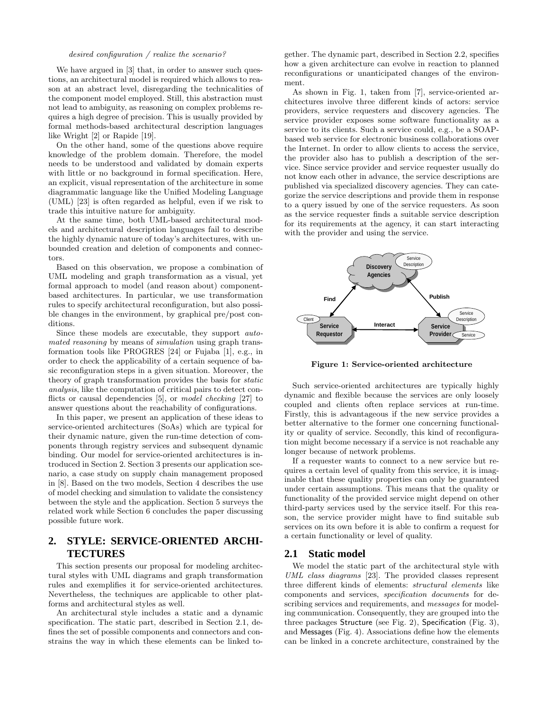#### desired configuration / realize the scenario?

We have argued in [3] that, in order to answer such questions, an architectural model is required which allows to reason at an abstract level, disregarding the technicalities of the component model employed. Still, this abstraction must not lead to ambiguity, as reasoning on complex problems requires a high degree of precision. This is usually provided by formal methods-based architectural description languages like Wright [2] or Rapide [19].

On the other hand, some of the questions above require knowledge of the problem domain. Therefore, the model needs to be understood and validated by domain experts with little or no background in formal specification. Here, an explicit, visual representation of the architecture in some diagrammatic language like the Unified Modeling Language (UML) [23] is often regarded as helpful, even if we risk to trade this intuitive nature for ambiguity.

At the same time, both UML-based architectural models and architectural description languages fail to describe the highly dynamic nature of today's architectures, with unbounded creation and deletion of components and connectors.

Based on this observation, we propose a combination of UML modeling and graph transformation as a visual, yet formal approach to model (and reason about) componentbased architectures. In particular, we use transformation rules to specify architectural reconfiguration, but also possible changes in the environment, by graphical pre/post conditions.

Since these models are executable, they support automated reasoning by means of simulation using graph transformation tools like PROGRES [24] or Fujaba [1], e.g., in order to check the applicability of a certain sequence of basic reconfiguration steps in a given situation. Moreover, the theory of graph transformation provides the basis for static analysis, like the computation of critical pairs to detect conflicts or causal dependencies [5], or *model checking* [27] to answer questions about the reachability of configurations.

In this paper, we present an application of these ideas to service-oriented architectures (SoAs) which are typical for their dynamic nature, given the run-time detection of components through registry services and subsequent dynamic binding. Our model for service-oriented architectures is introduced in Section 2. Section 3 presents our application scenario, a case study on supply chain management proposed in [8]. Based on the two models, Section 4 describes the use of model checking and simulation to validate the consistency between the style and the application. Section 5 surveys the related work while Section 6 concludes the paper discussing possible future work.

# **2. STYLE: SERVICE-ORIENTED ARCHI-TECTURES**

This section presents our proposal for modeling architectural styles with UML diagrams and graph transformation rules and exemplifies it for service-oriented architectures. Nevertheless, the techniques are applicable to other platforms and architectural styles as well.

An architectural style includes a static and a dynamic specification. The static part, described in Section 2.1, defines the set of possible components and connectors and constrains the way in which these elements can be linked together. The dynamic part, described in Section 2.2, specifies how a given architecture can evolve in reaction to planned reconfigurations or unanticipated changes of the environment.

As shown in Fig. 1, taken from [7], service-oriented architectures involve three different kinds of actors: service providers, service requesters and discovery agencies. The service provider exposes some software functionality as a service to its clients. Such a service could, e.g., be a SOAPbased web service for electronic business collaborations over the Internet. In order to allow clients to access the service, the provider also has to publish a description of the service. Since service provider and service requester usually do not know each other in advance, the service descriptions are published via specialized discovery agencies. They can categorize the service descriptions and provide them in response to a query issued by one of the service requesters. As soon as the service requester finds a suitable service description for its requirements at the agency, it can start interacting with the provider and using the service.



Figure 1: Service-oriented architecture

Such service-oriented architectures are typically highly dynamic and flexible because the services are only loosely coupled and clients often replace services at run-time. Firstly, this is advantageous if the new service provides a better alternative to the former one concerning functionality or quality of service. Secondly, this kind of reconfiguration might become necessary if a service is not reachable any longer because of network problems.

If a requester wants to connect to a new service but requires a certain level of quality from this service, it is imaginable that these quality properties can only be guaranteed under certain assumptions. This means that the quality or functionality of the provided service might depend on other third-party services used by the service itself. For this reason, the service provider might have to find suitable sub services on its own before it is able to confirm a request for a certain functionality or level of quality.

#### **2.1 Static model**

We model the static part of the architectural style with UML class diagrams [23]. The provided classes represent three different kinds of elements: structural elements like components and services, specification documents for describing services and requirements, and *messages* for modeling communication. Consequently, they are grouped into the three packages Structure (see Fig. 2), Specification (Fig. 3), and Messages (Fig. 4). Associations define how the elements can be linked in a concrete architecture, constrained by the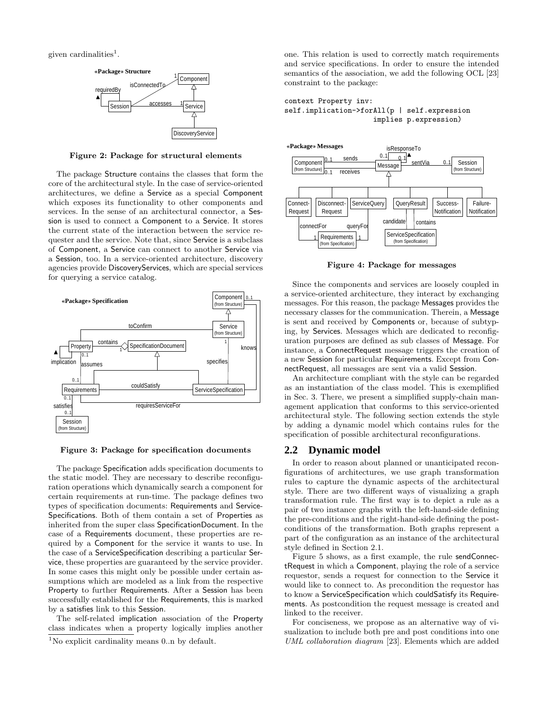given cardinalities<sup>1</sup>.



Figure 2: Package for structural elements

The package Structure contains the classes that form the core of the architectural style. In the case of service-oriented architectures, we define a Service as a special Component which exposes its functionality to other components and services. In the sense of an architectural connector, a Session is used to connect a Component to a Service. It stores the current state of the interaction between the service requester and the service. Note that, since Service is a subclass of Component, a Service can connect to another Service via a Session, too. In a service-oriented architecture, discovery agencies provide DiscoveryServices, which are special services for querying a service catalog.



Figure 3: Package for specification documents 2.2 Dy

The package Specification adds specification documents to the static model. They are necessary to describe reconfiguration operations which dynamically search a component for certain requirements at run-time. The package defines two types of specification documents: Requirements and Service-Specifications. Both of them contain a set of Properties as inherited from the super class SpecificationDocument. In the case of a Requirements document, these properties are required by a Component for the service it wants to use. In the case of a ServiceSpecification describing a particular Service, these properties are guaranteed by the service provider. In some cases this might only be possible under certain assumptions which are modeled as a link from the respective Property to further Requirements. After a Session has been successfully established for the Requirements, this is marked by a satisfies link to this Session.

The self-related implication association of the Property class indicates when a property logically implies another one. This relation is used to correctly match requirements and service specifications. In order to ensure the intended semantics of the association, we add the following OCL [23] constraint to the package:

```
context Property inv:
self.implication->forAll(p | self.expression
                     implies p.expression)
```


Figure 4: Package for messages

Since the components and services are loosely coupled in a service-oriented architecture, they interact by exchanging messages. For this reason, the package Messages provides the necessary classes for the communication. Therein, a Message is sent and received by Components or, because of subtyping, by Services. Messages which are dedicated to reconfiguration purposes are defined as sub classes of Message. For instance, a ConnectRequest message triggers the creation of a new Session for particular Requirements. Except from ConnectRequest, all messages are sent via a valid Session.

> An architecture compliant with the style can be regarded as an instantiation of the class model. This is exemplified in Sec. 3. There, we present a simplified supply-chain management application that conforms to this service-oriented architectural style. The following section extends the style by adding a dynamic model which contains rules for the specification of possible architectural reconfigurations.

#### **2.2 Dynamic model**

In order to reason about planned or unanticipated reconfigurations of architectures, we use graph transformation rules to capture the dynamic aspects of the architectural style. There are two different ways of visualizing a graph transformation rule. The first way is to depict a rule as a pair of two instance graphs with the left-hand-side defining the pre-conditions and the right-hand-side defining the postconditions of the transformation. Both graphs represent a part of the configuration as an instance of the architectural style defined in Section 2.1.

Figure 5 shows, as a first example, the rule sendConnectRequest in which a Component, playing the role of a service requestor, sends a request for connection to the Service it would like to connect to. As precondition the requestor has to know a ServiceSpecification which couldSatisfy its Requirements. As postcondition the request message is created and linked to the receiver.

For conciseness, we propose as an alternative way of visualization to include both pre and post conditions into one UML collaboration diagram [23]. Elements which are added

<sup>&</sup>lt;sup>1</sup>No explicit cardinality means 0..n by default.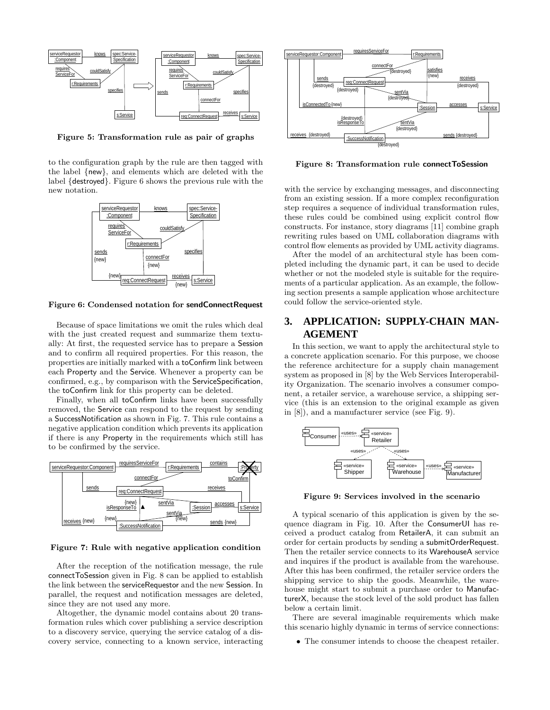

Figure 5: Transformation rule as pair of graphs

to the configuration graph by the rule are then tagged with the label {new}, and elements which are deleted with the label {destroyed}. Figure 6 shows the previous rule with the new notation.



Figure 6: Condensed notation for sendConnectRequest

Because of space limitations we omit the rules which deal with the just created request and summarize them textually: At first, the requested service has to prepare a Session and to confirm all required properties. For this reason, the properties are initially marked with a toConfirm link between each Property and the Service. Whenever a property can be confirmed, e.g., by comparison with the ServiceSpecification, the toConfirm link for this property can be deleted.

Finally, when all toConfirm links have been successfully removed, the Service can respond to the request by sending a SuccessNotification as shown in Fig. 7. This rule contains a negative application condition which prevents its application if there is any Property in the requirements which still has to be confirmed by the service.



Figure 7: Rule with negative application condition

After the reception of the notification message, the rule connectToSession given in Fig. 8 can be applied to establish the link between the serviceRequestor and the new Session. In parallel, the request and notification messages are deleted, since they are not used any more.

Altogether, the dynamic model contains about 20 transformation rules which cover publishing a service description to a discovery service, querying the service catalog of a discovery service, connecting to a known service, interacting



Figure 8: Transformation rule connectToSession

with the service by exchanging messages, and disconnecting from an existing session. If a more complex reconfiguration step requires a sequence of individual transformation rules, these rules could be combined using explicit control flow constructs. For instance, story diagrams [11] combine graph rewriting rules based on UML collaboration diagrams with control flow elements as provided by UML activity diagrams.

After the model of an architectural style has been completed including the dynamic part, it can be used to decide whether or not the modeled style is suitable for the requirements of a particular application. As an example, the following section presents a sample application whose architecture could follow the service-oriented style.

# **3. APPLICATION: SUPPLY-CHAIN MAN-AGEMENT**

In this section, we want to apply the architectural style to a concrete application scenario. For this purpose, we choose the reference architecture for a supply chain management system as proposed in [8] by the Web Services Interoperability Organization. The scenario involves a consumer component, a retailer service, a warehouse service, a shipping service (this is an extension to the original example as given in [8]), and a manufacturer service (see Fig. 9).



Figure 9: Services involved in the scenario

A typical scenario of this application is given by the sequence diagram in Fig. 10. After the ConsumerUI has received a product catalog from RetailerA, it can submit an order for certain products by sending a submitOrderRequest. Then the retailer service connects to its WarehouseA service and inquires if the product is available from the warehouse. After this has been confirmed, the retailer service orders the shipping service to ship the goods. Meanwhile, the warehouse might start to submit a purchase order to ManufacturerX, because the stock level of the sold product has fallen below a certain limit.

There are several imaginable requirements which make this scenario highly dynamic in terms of service connections:

• The consumer intends to choose the cheapest retailer.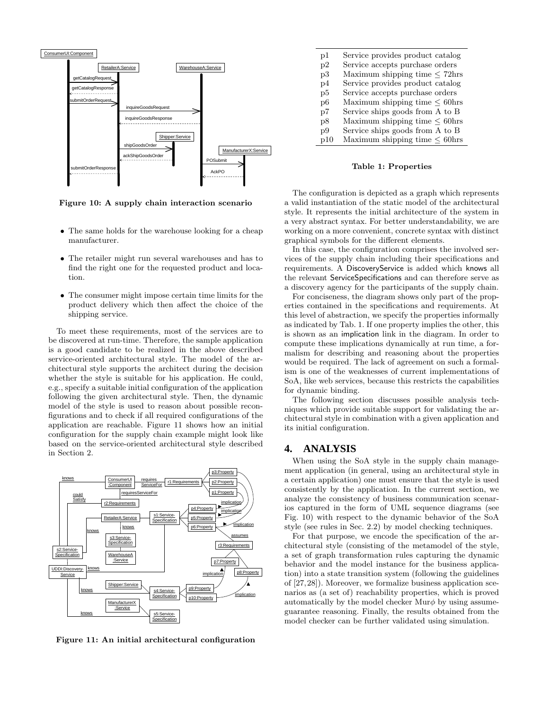

Figure 10: A supply chain interaction scenario

- The same holds for the warehouse looking for a cheap manufacturer.
- The retailer might run several warehouses and has to find the right one for the requested product and location.
- The consumer might impose certain time limits for the product delivery which then affect the choice of the shipping service.

To meet these requirements, most of the services are to be discovered at run-time. Therefore, the sample application is a good candidate to be realized in the above described service-oriented architectural style. The model of the architectural style supports the architect during the decision whether the style is suitable for his application. He could, e.g., specify a suitable initial configuration of the application following the given architectural style. Then, the dynamic model of the style is used to reason about possible reconfigurations and to check if all required configurations of the application are reachable. Figure 11 shows how an initial configuration for the supply chain example might look like based on the service-oriented architectural style described in Section 2.



Figure 11: An initial architectural configuration

| p1  | Service provides product catalog    |
|-----|-------------------------------------|
| p2  | Service accepts purchase orders     |
| p3  | Maximum shipping time $\leq 72$ hrs |
| p4  | Service provides product catalog    |
| p5  | Service accepts purchase orders     |
| p6  | Maximum shipping time $\leq 60$ hrs |
| p7  | Service ships goods from A to B     |
| р8  | Maximum shipping time $\leq 60$ hrs |
| p9  | Service ships goods from A to B     |
| p10 | Maximum shipping time $\leq 60$ hrs |

#### Table 1: Properties

The configuration is depicted as a graph which represents a valid instantiation of the static model of the architectural style. It represents the initial architecture of the system in a very abstract syntax. For better understandability, we are working on a more convenient, concrete syntax with distinct graphical symbols for the different elements.

In this case, the configuration comprises the involved services of the supply chain including their specifications and requirements. A DiscoveryService is added which knows all the relevant ServiceSpecifications and can therefore serve as a discovery agency for the participants of the supply chain.

For conciseness, the diagram shows only part of the properties contained in the specifications and requirements. At this level of abstraction, we specify the properties informally as indicated by Tab. 1. If one property implies the other, this is shown as an implication link in the diagram. In order to compute these implications dynamically at run time, a formalism for describing and reasoning about the properties would be required. The lack of agreement on such a formalism is one of the weaknesses of current implementations of SoA, like web services, because this restricts the capabilities for dynamic binding.

The following section discusses possible analysis techniques which provide suitable support for validating the architectural style in combination with a given application and its initial configuration.

#### **4. ANALYSIS**

When using the SoA style in the supply chain management application (in general, using an architectural style in a certain application) one must ensure that the style is used consistently by the application. In the current section, we analyze the consistency of business communication scenarios captured in the form of UML sequence diagrams (see Fig. 10) with respect to the dynamic behavior of the SoA style (see rules in Sec. 2.2) by model checking techniques.

For that purpose, we encode the specification of the architectural style (consisting of the metamodel of the style, a set of graph transformation rules capturing the dynamic behavior and the model instance for the business application) into a state transition system (following the guidelines of [27,28]). Moreover, we formalize business application scenarios as (a set of) reachability properties, which is proved automatically by the model checker  $\text{Mur}\phi$  by using assumeguarantee reasoning. Finally, the results obtained from the model checker can be further validated using simulation.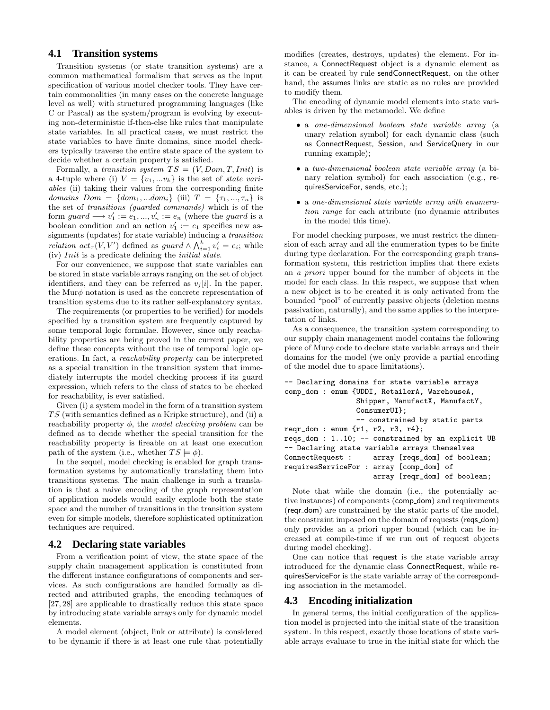#### **4.1 Transition systems**

Transition systems (or state transition systems) are a common mathematical formalism that serves as the input specification of various model checker tools. They have certain commonalities (in many cases on the concrete language level as well) with structured programming languages (like C or Pascal) as the system/program is evolving by executing non-deterministic if-then-else like rules that manipulate state variables. In all practical cases, we must restrict the state variables to have finite domains, since model checkers typically traverse the entire state space of the system to decide whether a certain property is satisfied.

Formally, a transition system  $TS = (V, Dom, T,Init)$  is a 4-tuple where (i)  $V = \{v_1, ... v_k\}$  is the set of state variables (ii) taking their values from the corresponding finite domains  $Dom = \{dom_1, ... dom_i\}$  (iii)  $T = \{\tau_1, ..., \tau_n\}$  is the set of transitions (guarded commands) which is of the form  $guard \longrightarrow v'_1 := e_1, ..., v'_n := e_n$  (where the *guard* is a boolean condition and an action  $v'_1 := e_1$  specifies new assignments (updates) for state variable) inducing a transition *relation*  $act_{\tau}(V, V')$  defined as  $guard \wedge \bigwedge_{i=1}^{k} v'_{i} = e_{i}$ ; while (iv)  $Init$  is a predicate defining the *initial state*.

For our convenience, we suppose that state variables can be stored in state variable arrays ranging on the set of object identifiers, and they can be referred as  $v_i[i]$ . In the paper, the Mur $\phi$  notation is used as the concrete representation of transition systems due to its rather self-explanatory syntax.

The requirements (or properties to be verified) for models specified by a transition system are frequently captured by some temporal logic formulae. However, since only reachability properties are being proved in the current paper, we define these concepts without the use of temporal logic operations. In fact, a reachability property can be interpreted as a special transition in the transition system that immediately interrupts the model checking process if its guard expression, which refers to the class of states to be checked for reachability, is ever satisfied.

Given (i) a system model in the form of a transition system  $TS$  (with semantics defined as a Kripke structure), and (ii) a reachability property  $\phi$ , the model checking problem can be defined as to decide whether the special transition for the reachability property is fireable on at least one execution path of the system (i.e., whether  $TS \models \phi$ ).

In the sequel, model checking is enabled for graph transformation systems by automatically translating them into transitions systems. The main challenge in such a translation is that a naive encoding of the graph representation of application models would easily explode both the state space and the number of transitions in the transition system even for simple models, therefore sophisticated optimization techniques are required.

#### **4.2 Declaring state variables**

From a verification point of view, the state space of the supply chain management application is constituted from the different instance configurations of components and services. As such configurations are handled formally as directed and attributed graphs, the encoding techniques of [27, 28] are applicable to drastically reduce this state space by introducing state variable arrays only for dynamic model elements.

A model element (object, link or attribute) is considered to be dynamic if there is at least one rule that potentially modifies (creates, destroys, updates) the element. For instance, a ConnectRequest object is a dynamic element as it can be created by rule sendConnectRequest, on the other hand, the assumes links are static as no rules are provided to modify them.

The encoding of dynamic model elements into state variables is driven by the metamodel. We define

- a one-dimensional boolean state variable array (a unary relation symbol) for each dynamic class (such as ConnectRequest, Session, and ServiceQuery in our running example);
- a two-dimensional boolean state variable array (a binary relation symbol) for each association (e.g., requiresServiceFor, sends, etc.);
- a one-dimensional state variable array with enumeration range for each attribute (no dynamic attributes in the model this time).

For model checking purposes, we must restrict the dimension of each array and all the enumeration types to be finite during type declaration. For the corresponding graph transformation system, this restriction implies that there exists an a priori upper bound for the number of objects in the model for each class. In this respect, we suppose that when a new object is to be created it is only activated from the bounded "pool" of currently passive objects (deletion means passivation, naturally), and the same applies to the interpretation of links.

As a consequence, the transition system corresponding to our supply chain management model contains the following piece of  $\text{Mur}\phi$  code to declare state variable arrays and their domains for the model (we only provide a partial encoding of the model due to space limitations).

```
-- Declaring domains for state variable arrays
comp_dom : enum {UDDI, RetailerA, WarehouseA,
                 Shipper, ManufactX, ManufactY,
                 ConsumerUI};
                 -- constrained by static parts
reqr_dom : enum {r1, r2, r3, r4};
reqs_dom : 1..10; -- constrained by an explicit UB
-- Declaring state variable arrays themselves
ConnectRequest : array [reqs_dom] of boolean;
requiresServiceFor : array [comp_dom] of
                     array [reqr_dom] of boolean;
```
Note that while the domain (i.e., the potentially active instances) of components (comp dom) and requirements (reqr dom) are constrained by the static parts of the model, the constraint imposed on the domain of requests (reqs\_dom) only provides an a priori upper bound (which can be increased at compile-time if we run out of request objects during model checking).

One can notice that request is the state variable array introduced for the dynamic class ConnectRequest, while requiresServiceFor is the state variable array of the corresponding association in the metamodel.

#### **4.3 Encoding initialization**

In general terms, the initial configuration of the application model is projected into the initial state of the transition system. In this respect, exactly those locations of state variable arrays evaluate to true in the initial state for which the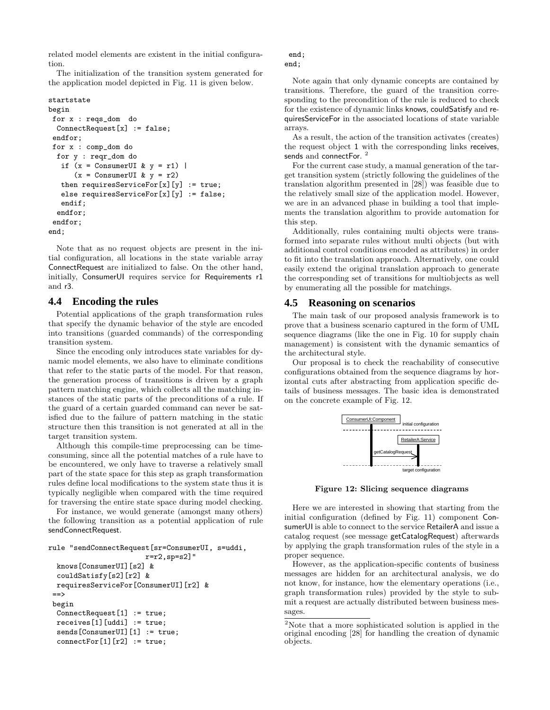related model elements are existent in the initial configuration.

The initialization of the transition system generated for the application model depicted in Fig. 11 is given below.

```
startstate
begin
 for x : reqs_dom do
  ConnectRequest[x] := false;
 endfor;
 for x : comp_dom do
  for y : reqr_dom do
   if (x = \text{ConsumerUI} \& y = r1) |
      (x = \text{ConsumerUI} \& y = r2)then requiresServiceFor[x][y] := true;
   else requiresServiceFor[x][y] := false;
   endif;
  endfor;
 endfor;
end;
```
Note that as no request objects are present in the initial configuration, all locations in the state variable array ConnectRequest are initialized to false. On the other hand, initially, ConsumerUI requires service for Requirements r1 and r3.

## **4.4 Encoding the rules**

Potential applications of the graph transformation rules that specify the dynamic behavior of the style are encoded into transitions (guarded commands) of the corresponding transition system.

Since the encoding only introduces state variables for dynamic model elements, we also have to eliminate conditions that refer to the static parts of the model. For that reason, the generation process of transitions is driven by a graph pattern matching engine, which collects all the matching instances of the static parts of the preconditions of a rule. If the guard of a certain guarded command can never be satisfied due to the failure of pattern matching in the static structure then this transition is not generated at all in the target transition system.

Although this compile-time preprocessing can be timeconsuming, since all the potential matches of a rule have to be encountered, we only have to traverse a relatively small part of the state space for this step as graph transformation rules define local modifications to the system state thus it is typically negligible when compared with the time required for traversing the entire state space during model checking.

For instance, we would generate (amongst many others) the following transition as a potential application of rule sendConnectRequest.

```
rule "sendConnectRequest[sr=ConsumerUI, s=uddi,
                       r=r2, sp=s2]"
  knows[ConsumerUI][s2] &
  couldSatisfy[s2][r2] &
 requiresServiceFor[ConsumerUI][r2] &
=begin
  ConnectRequest[1] := true;
  receives[1][uddi] := true;
  sends[ConsumerUI][1] := true;
  connectFor[1][r2] := true;
```
end; end;

Note again that only dynamic concepts are contained by transitions. Therefore, the guard of the transition corresponding to the precondition of the rule is reduced to check for the existence of dynamic links knows, couldSatisfy and requiresServiceFor in the associated locations of state variable arrays.

As a result, the action of the transition activates (creates) the request object 1 with the corresponding links receives, sends and connectFor.<sup>2</sup>

For the current case study, a manual generation of the target transition system (strictly following the guidelines of the translation algorithm presented in [28]) was feasible due to the relatively small size of the application model. However, we are in an advanced phase in building a tool that implements the translation algorithm to provide automation for this step.

Additionally, rules containing multi objects were transformed into separate rules without multi objects (but with additional control conditions encoded as attributes) in order to fit into the translation approach. Alternatively, one could easily extend the original translation approach to generate the corresponding set of transitions for multiobjects as well by enumerating all the possible for matchings.

### **4.5 Reasoning on scenarios**

The main task of our proposed analysis framework is to prove that a business scenario captured in the form of UML sequence diagrams (like the one in Fig. 10 for supply chain management) is consistent with the dynamic semantics of the architectural style.

Our proposal is to check the reachability of consecutive configurations obtained from the sequence diagrams by horizontal cuts after abstracting from application specific details of business messages. The basic idea is demonstrated on the concrete example of Fig. 12.



Figure 12: Slicing sequence diagrams

Here we are interested in showing that starting from the initial configuration (defined by Fig. 11) component ConsumerUI is able to connect to the service RetailerA and issue a catalog request (see message getCatalogRequest) afterwards by applying the graph transformation rules of the style in a proper sequence.

However, as the application-specific contents of business messages are hidden for an architectural analysis, we do not know, for instance, how the elementary operations (i.e., graph transformation rules) provided by the style to submit a request are actually distributed between business messages.

<sup>2</sup>Note that a more sophisticated solution is applied in the original encoding [28] for handling the creation of dynamic objects.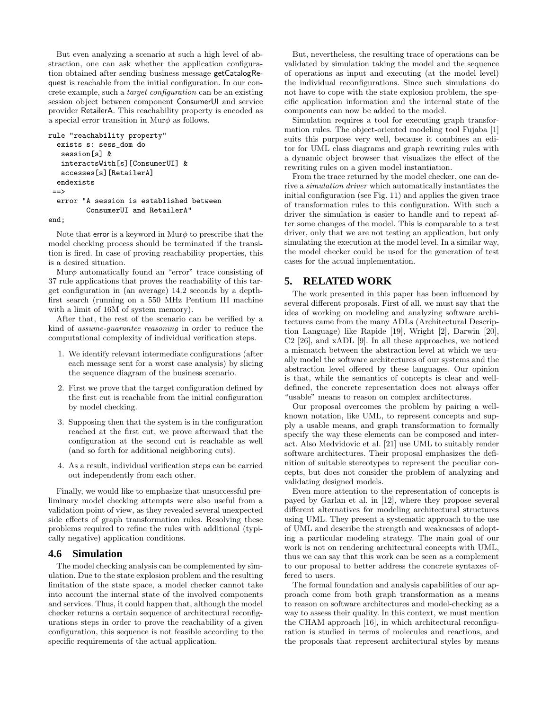But even analyzing a scenario at such a high level of abstraction, one can ask whether the application configuration obtained after sending business message getCatalogRequest is reachable from the initial configuration. In our concrete example, such a target configuration can be an existing session object between component ConsumerUI and service provider RetailerA. This reachability property is encoded as a special error transition in  $\text{Mur}\phi$  as follows.

```
rule "reachability property"
  exists s: sess_dom do
   session[s] &
   interactsWith[s][ConsumerUI] &
   accesses[s][RetailerA]
  endexists
 =error "A session is established between
         ConsumerUI and RetailerA"
```
end;

Note that error is a keyword in Mur $\phi$  to prescribe that the model checking process should be terminated if the transition is fired. In case of proving reachability properties, this is a desired situation.

Mur $\phi$  automatically found an "error" trace consisting of 37 rule applications that proves the reachability of this target configuration in (an average) 14.2 seconds by a depthfirst search (running on a 550 MHz Pentium III machine with a limit of 16M of system memory).

After that, the rest of the scenario can be verified by a kind of assume-guarantee reasoning in order to reduce the computational complexity of individual verification steps.

- 1. We identify relevant intermediate configurations (after each message sent for a worst case analysis) by slicing the sequence diagram of the business scenario.
- 2. First we prove that the target configuration defined by the first cut is reachable from the initial configuration by model checking.
- 3. Supposing then that the system is in the configuration reached at the first cut, we prove afterward that the configuration at the second cut is reachable as well (and so forth for additional neighboring cuts).
- 4. As a result, individual verification steps can be carried out independently from each other.

Finally, we would like to emphasize that unsuccessful preliminary model checking attempts were also useful from a validation point of view, as they revealed several unexpected side effects of graph transformation rules. Resolving these problems required to refine the rules with additional (typically negative) application conditions.

#### **4.6 Simulation**

The model checking analysis can be complemented by simulation. Due to the state explosion problem and the resulting limitation of the state space, a model checker cannot take into account the internal state of the involved components and services. Thus, it could happen that, although the model checker returns a certain sequence of architectural reconfigurations steps in order to prove the reachability of a given configuration, this sequence is not feasible according to the specific requirements of the actual application.

But, nevertheless, the resulting trace of operations can be validated by simulation taking the model and the sequence of operations as input and executing (at the model level) the individual reconfigurations. Since such simulations do not have to cope with the state explosion problem, the specific application information and the internal state of the components can now be added to the model.

Simulation requires a tool for executing graph transformation rules. The object-oriented modeling tool Fujaba [1] suits this purpose very well, because it combines an editor for UML class diagrams and graph rewriting rules with a dynamic object browser that visualizes the effect of the rewriting rules on a given model instantiation.

From the trace returned by the model checker, one can derive a simulation driver which automatically instantiates the initial configuration (see Fig. 11) and applies the given trace of transformation rules to this configuration. With such a driver the simulation is easier to handle and to repeat after some changes of the model. This is comparable to a test driver, only that we are not testing an application, but only simulating the execution at the model level. In a similar way, the model checker could be used for the generation of test cases for the actual implementation.

## **5. RELATED WORK**

The work presented in this paper has been influenced by several different proposals. First of all, we must say that the idea of working on modeling and analyzing software architectures came from the many ADLs (Architectural Description Language) like Rapide [19], Wright [2], Darwin [20], C2 [26], and xADL [9]. In all these approaches, we noticed a mismatch between the abstraction level at which we usually model the software architectures of our systems and the abstraction level offered by these languages. Our opinion is that, while the semantics of concepts is clear and welldefined, the concrete representation does not always offer "usable" means to reason on complex architectures.

Our proposal overcomes the problem by pairing a wellknown notation, like UML, to represent concepts and supply a usable means, and graph transformation to formally specify the way these elements can be composed and interact. Also Medvidovic et al. [21] use UML to suitably render software architectures. Their proposal emphasizes the definition of suitable stereotypes to represent the peculiar concepts, but does not consider the problem of analyzing and validating designed models.

Even more attention to the representation of concepts is payed by Garlan et al. in [12], where they propose several different alternatives for modeling architectural structures using UML. They present a systematic approach to the use of UML and describe the strength and weaknesses of adopting a particular modeling strategy. The main goal of our work is not on rendering architectural concepts with UML, thus we can say that this work can be seen as a complement to our proposal to better address the concrete syntaxes offered to users.

The formal foundation and analysis capabilities of our approach come from both graph transformation as a means to reason on software architectures and model-checking as a way to assess their quality. In this context, we must mention the CHAM approach [16], in which architectural reconfiguration is studied in terms of molecules and reactions, and the proposals that represent architectural styles by means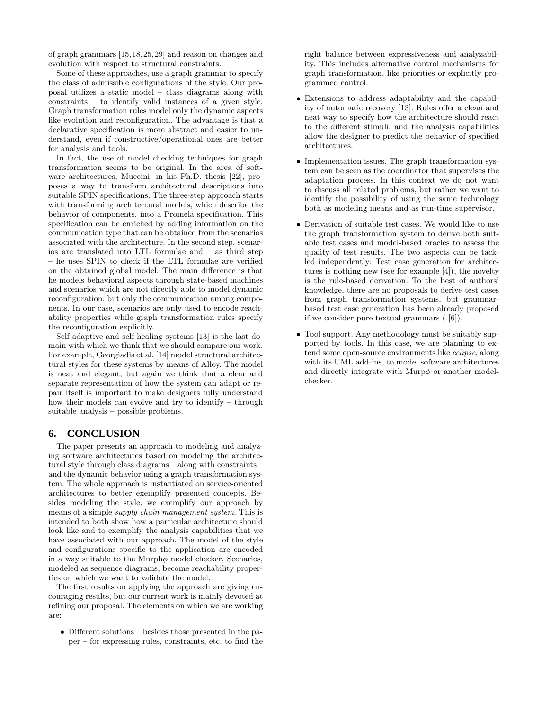of graph grammars [15,18,25,29] and reason on changes and evolution with respect to structural constraints.

Some of these approaches, use a graph grammar to specify the class of admissible configurations of the style. Our proposal utilizes a static model – class diagrams along with constraints – to identify valid instances of a given style. Graph transformation rules model only the dynamic aspects like evolution and reconfiguration. The advantage is that a declarative specification is more abstract and easier to understand, even if constructive/operational ones are better for analysis and tools.

In fact, the use of model checking techniques for graph transformation seems to be original. In the area of software architectures, Muccini, in his Ph.D. thesis [22], proposes a way to transform architectural descriptions into suitable SPIN specifications. The three-step approach starts with transforming architectural models, which describe the behavior of components, into a Promela specification. This specification can be enriched by adding information on the communication type that can be obtained from the scenarios associated with the architecture. In the second step, scenarios are translated into LTL formulae and – as third step – he uses SPIN to check if the LTL formulae are verified on the obtained global model. The main difference is that he models behavioral aspects through state-based machines and scenarios which are not directly able to model dynamic reconfiguration, but only the communication among components. In our case, scenarios are only used to encode reachability properties while graph transformation rules specify the reconfiguration explicitly.

Self-adaptive and self-healing systems [13] is the last domain with which we think that we should compare our work. For example, Georgiadis et al. [14] model structural architectural styles for these systems by means of Alloy. The model is neat and elegant, but again we think that a clear and separate representation of how the system can adapt or repair itself is important to make designers fully understand how their models can evolve and try to identify – through suitable analysis – possible problems.

#### **6. CONCLUSION**

The paper presents an approach to modeling and analyzing software architectures based on modeling the architectural style through class diagrams – along with constraints – and the dynamic behavior using a graph transformation system. The whole approach is instantiated on service-oriented architectures to better exemplify presented concepts. Besides modeling the style, we exemplify our approach by means of a simple supply chain management system. This is intended to both show how a particular architecture should look like and to exemplify the analysis capabilities that we have associated with our approach. The model of the style and configurations specific to the application are encoded in a way suitable to the Murph $\phi$  model checker. Scenarios, modeled as sequence diagrams, become reachability properties on which we want to validate the model.

The first results on applying the approach are giving encouraging results, but our current work is mainly devoted at refining our proposal. The elements on which we are working are:

• Different solutions – besides those presented in the paper – for expressing rules, constraints, etc. to find the right balance between expressiveness and analyzability. This includes alternative control mechanisms for graph transformation, like priorities or explicitly programmed control.

- Extensions to address adaptability and the capability of automatic recovery [13]. Rules offer a clean and neat way to specify how the architecture should react to the different stimuli, and the analysis capabilities allow the designer to predict the behavior of specified architectures.
- Implementation issues. The graph transformation system can be seen as the coordinator that supervises the adaptation process. In this context we do not want to discuss all related problems, but rather we want to identify the possibility of using the same technology both as modeling means and as run-time supervisor.
- Derivation of suitable test cases. We would like to use the graph transformation system to derive both suitable test cases and model-based oracles to assess the quality of test results. The two aspects can be tackled independently: Test case generation for architectures is nothing new (see for example [4]), the novelty is the rule-based derivation. To the best of authors' knowledge, there are no proposals to derive test cases from graph transformation systems, but grammarbased test case generation has been already proposed if we consider pure textual grammars ( [6]).
- Tool support. Any methodology must be suitably supported by tools. In this case, we are planning to extend some open-source environments like eclipse, along with its UML add-ins, to model software architectures and directly integrate with  $\text{Murp}\phi$  or another modelchecker.